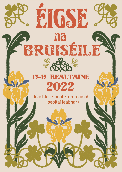# 13-15 BEALTAINE 2022

**EIGSE** 

na

BRUISÉILE

léachtaí • ceol • drámaíocht · seoltaí leabhar ·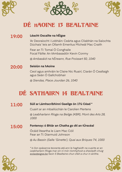





## Dé haoine 13 Bealtaine

#### **Léacht Oscailte na hÉigse 19:00**

'Ar Deoraíocht i Lobháin: Ceárta agus Cliabhán na Saíochta Dúchais' leis an Ollamh Emeritus Mícheál Mac Craith

Fear an Tí: Tomaí Ó Conghaile Focal Fáilte: An tAmbasadóir Kevin Conmy

*@ Ambasáid na hÉireann, Rue Froissart 50, 1040*

#### **Seisiún na hAoine 20:00**

Ceol agus amhráin le Claire Nic Ruairí, Ciarán Ó Ceallaigh agus Seán Ó Gallchobhair

*@ Siendas, Place Jourdan 26, 1040*

## Dé Sathairn 14 Bealtaine

### **11:00**

### **Súil ar Lámhscríbhinní Gaeilge ón 17ú Céad \***

Cuairt ar an mbailiúchán le Carolien Mertens

*@ Leabharlann Ríoga na Beilge (KBR), Mont des Arts 28, 1000*

#### **Fontenoy: ó Bhlár an Chatha go dtí an tÚrscéal 15:00**

Ócáid liteartha le Liam Mac Cóil Fear an Tí: Diarmuid Johnson

*@ Au Bassin (Salle 'Ginette'), Quai aux Briques 74, 1000*

*\* Is líon spásanna teoranta atá ann le haghaidh na cuairte ar an Leabharlann Ríoga mar sin ní mór ríomhphost a sheoladh chuig eolas@eigse.be faoin 5 Bealtaine chun d'áit a chur in áirithe.*



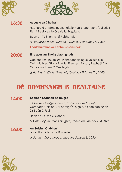





#### **Auguste sa Chathair 16:30**

Radharc ó dhráma nuascríofa le Rua Breathnach, faoi stiúir Rémi Beelprez, le Graziella Boggiano

Bean an Tí: Shanna Ní Rabhartaigh

*@ Au Bassin (Salle 'Ginette'), Quai aux Briques 74, 1000*

**I ndilchuimhne ar Éabha Rosenstock**

#### **Éire agus an Bheilg d'aon ghuth 20:00**

Ceolchoirm i nGaeilge, Pléimeannais agus Vallúinis le Doimnic Mac Giolla Bhríde, Frances Morton, Raphaël De Cock agus Liam Ó Ceallaigh

*@ Au Bassin (Salle 'Ginette'), Quai aux Briques 74, 1000*

## Dé domhnaigh 15 Bealtaine

### **14:00**

### **Seoladh Leabhair na hÉigse**

'*Pobal na Gaeilge: Daonra, Institiúidí, Stádas, agus Cumhacht*' leis an Dr Pádraig Ó Laighin, á sheoladh ag an Dr Seán Ó Riain

Bean an Tí: Úna O'Connor

*@ Café Béguin (thuas staighre), Place du Samedi 12A, 1000*

#### **An Seisiún Clabhsúir 16:00**

le ceoltóirí áitiúla na Bruiséile

*@ Joran – Cidrothèque, Jacques Jansen 3, 1030*